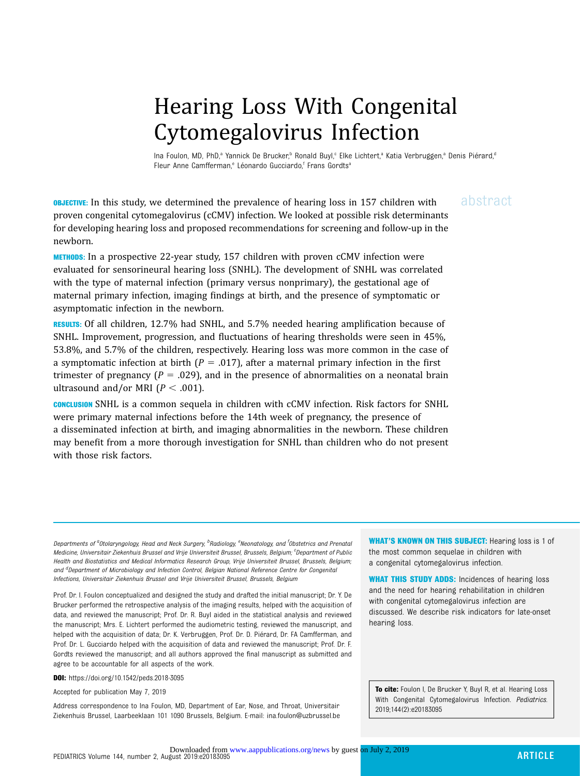## Hearing Loss With Congenital Cytomegalovirus Infection

Ina Foulon, MD, PhD,<sup>a</sup> Yannick De Brucker,<sup>b</sup> Ronald Buyl,<sup>c</sup> Elke Lichtert,<sup>a</sup> Katia Verbruggen,<sup>a</sup> Denis Piérard,<sup>d</sup> Fleur Anne Camfferman,<sup>e</sup> Léonardo Gucciardo,<sup>f</sup> Frans Gordts<sup>a</sup>

**OBJECTIVE:** In this study, we determined the prevalence of hearing loss in 157 children with abstract proven congenital cytomegalovirus (cCMV) infection. We looked at possible risk determinants for developing hearing loss and proposed recommendations for screening and follow-up in the newborn.

METHODS: In a prospective 22-year study, 157 children with proven cCMV infection were evaluated for sensorineural hearing loss (SNHL). The development of SNHL was correlated with the type of maternal infection (primary versus nonprimary), the gestational age of maternal primary infection, imaging findings at birth, and the presence of symptomatic or asymptomatic infection in the newborn.

RESULTS: Of all children, 12.7% had SNHL, and 5.7% needed hearing amplification because of SNHL. Improvement, progression, and fluctuations of hearing thresholds were seen in 45%, 53.8%, and 5.7% of the children, respectively. Hearing loss was more common in the case of a symptomatic infection at birth ( $P = .017$ ), after a maternal primary infection in the first trimester of pregnancy ( $P = .029$ ), and in the presence of abnormalities on a neonatal brain ultrasound and/or MRI ( $P < .001$ ).

CONCLUSION SNHL is a common sequela in children with cCMV infection. Risk factors for SNHL were primary maternal infections before the 14th week of pregnancy, the presence of a disseminated infection at birth, and imaging abnormalities in the newborn. These children may benefit from a more thorough investigation for SNHL than children who do not present with those risk factors.

Departments of <sup>a</sup>0tolaryngology, Head and Neck Surgery, <sup>b</sup>Radiology, <sup>e</sup>Neonatology, and <sup>f</sup>0bstetrics and Prenatai Medicine, Universitair Ziekenhuis Brussel and Vrije Universiteit Brussel, Brussels, Belgium; <sup>c</sup>Department of Public Health and Biostatistics and Medical Informatics Research Group, Vrije Universiteit Brussel, Brussels, Belgium; and <sup>d</sup>Department of Microbiology and Infection Control, Belgian National Reference Centre for Congenital Infections, Universitair Ziekenhuis Brussel and Vrije Universiteit Brussel, Brussels, Belgium

Prof. Dr. I. Foulon conceptualized and designed the study and drafted the initial manuscript; Dr. Y. De Brucker performed the retrospective analysis of the imaging results, helped with the acquisition of data, and reviewed the manuscript; Prof. Dr. R. Buyl aided in the statistical analysis and reviewed the manuscript; Mrs. E. Lichtert performed the audiometric testing, reviewed the manuscript, and helped with the acquisition of data; Dr. K. Verbruggen, Prof. Dr. D. Piérard, Dr. FA Camfferman, and Prof. Dr. L. Gucciardo helped with the acquisition of data and reviewed the manuscript; Prof. Dr. F. Gordts reviewed the manuscript; and all authors approved the final manuscript as submitted and agree to be accountable for all aspects of the work.

DOI: <https://doi.org/10.1542/peds.2018-3095>

Accepted for publication May 7, 2019

Address correspondence to Ina Foulon, MD, Department of Ear, Nose, and Throat, Universitair Ziekenhuis Brussel, Laarbeeklaan 101 1090 Brussels, Belgium. E-mail: [ina.foulon@uzbrussel.be](mailto:ina.foulon@uzbrussel.be) WHAT'S KNOWN ON THIS SUBJECT: Hearing loss is 1 of the most common sequelae in children with a congenital cytomegalovirus infection.

WHAT THIS STUDY ADDS: Incidences of hearing loss and the need for hearing rehabilitation in children with congenital cytomegalovirus infection are discussed. We describe risk indicators for late-onset hearing loss.

To cite: Foulon I, De Brucker Y, Buyl R, et al. Hearing Loss With Congenital Cytomegalovirus Infection. Pediatrics. 2019;144(2):e20183095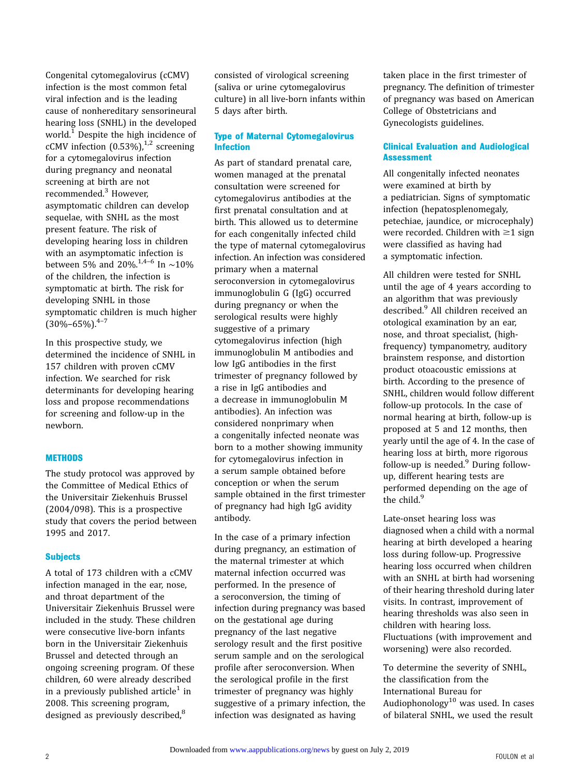Congenital cytomegalovirus (cCMV) infection is the most common fetal viral infection and is the leading cause of nonhereditary sensorineural hearing loss (SNHL) in the developed world.<sup>[1](#page-5-0)</sup> Despite the high incidence of cCMV infection  $(0.53\%)$ ,<sup>[1,2](#page-5-0)</sup> screening for a cytomegalovirus infection during pregnancy and neonatal screening at birth are not recommended.[3](#page-5-0) However, asymptomatic children can develop sequelae, with SNHL as the most present feature. The risk of developing hearing loss in children with an asymptomatic infection is between 5% and 20%.<sup>[1,4](#page-5-0)–[6](#page-5-0)</sup> In ∼10% of the children, the infection is symptomatic at birth. The risk for developing SNHL in those symptomatic children is much higher  $(30\% - 65\%)$ <sup>4-[7](#page-5-0)</sup>

In this prospective study, we determined the incidence of SNHL in 157 children with proven cCMV infection. We searched for risk determinants for developing hearing loss and propose recommendations for screening and follow-up in the newborn.

#### **METHODS**

The study protocol was approved by the Committee of Medical Ethics of the Universitair Ziekenhuis Brussel (2004/098). This is a prospective study that covers the period between 1995 and 2017.

#### **Subjects**

A total of 173 children with a cCMV infection managed in the ear, nose, and throat department of the Universitair Ziekenhuis Brussel were included in the study. These children were consecutive live-born infants born in the Universitair Ziekenhuis Brussel and detected through an ongoing screening program. Of these children, 60 were already described in a previously published article<sup>[1](#page-5-0)</sup> in 2008. This screening program, designed as previously described,<sup>[8](#page-5-0)</sup>

consisted of virological screening (saliva or urine cytomegalovirus culture) in all live-born infants within 5 days after birth.

#### Type of Maternal Cytomegalovirus Infection

As part of standard prenatal care, women managed at the prenatal consultation were screened for cytomegalovirus antibodies at the first prenatal consultation and at birth. This allowed us to determine for each congenitally infected child the type of maternal cytomegalovirus infection. An infection was considered primary when a maternal seroconversion in cytomegalovirus immunoglobulin G (IgG) occurred during pregnancy or when the serological results were highly suggestive of a primary cytomegalovirus infection (high immunoglobulin M antibodies and low IgG antibodies in the first trimester of pregnancy followed by a rise in IgG antibodies and a decrease in immunoglobulin M antibodies). An infection was considered nonprimary when a congenitally infected neonate was born to a mother showing immunity for cytomegalovirus infection in a serum sample obtained before conception or when the serum sample obtained in the first trimester of pregnancy had high IgG avidity antibody.

In the case of a primary infection during pregnancy, an estimation of the maternal trimester at which maternal infection occurred was performed. In the presence of a seroconversion, the timing of infection during pregnancy was based on the gestational age during pregnancy of the last negative serology result and the first positive serum sample and on the serological profile after seroconversion. When the serological profile in the first trimester of pregnancy was highly suggestive of a primary infection, the infection was designated as having

taken place in the first trimester of pregnancy. The definition of trimester of pregnancy was based on American College of Obstetricians and Gynecologists guidelines.

#### Clinical Evaluation and Audiological **Assessment**

All congenitally infected neonates were examined at birth by a pediatrician. Signs of symptomatic infection (hepatosplenomegaly, petechiae, jaundice, or microcephaly) were recorded. Children with  $\geq 1$  sign were classified as having had a symptomatic infection.

All children were tested for SNHL until the age of 4 years according to an algorithm that was previously described.<sup>[9](#page-5-0)</sup> All children received an otological examination by an ear, nose, and throat specialist, (highfrequency) tympanometry, auditory brainstem response, and distortion product otoacoustic emissions at birth. According to the presence of SNHL, children would follow different follow-up protocols. In the case of normal hearing at birth, follow-up is proposed at 5 and 12 months, then yearly until the age of 4. In the case of hearing loss at birth, more rigorous follow-up is needed. $9$  During followup, different hearing tests are performed depending on the age of the child.<sup>[9](#page-5-0)</sup>

Late-onset hearing loss was diagnosed when a child with a normal hearing at birth developed a hearing loss during follow-up. Progressive hearing loss occurred when children with an SNHL at birth had worsening of their hearing threshold during later visits. In contrast, improvement of hearing thresholds was also seen in children with hearing loss. Fluctuations (with improvement and worsening) were also recorded.

To determine the severity of SNHL, the classification from the International Bureau for Audiophonology $10$  was used. In cases of bilateral SNHL, we used the result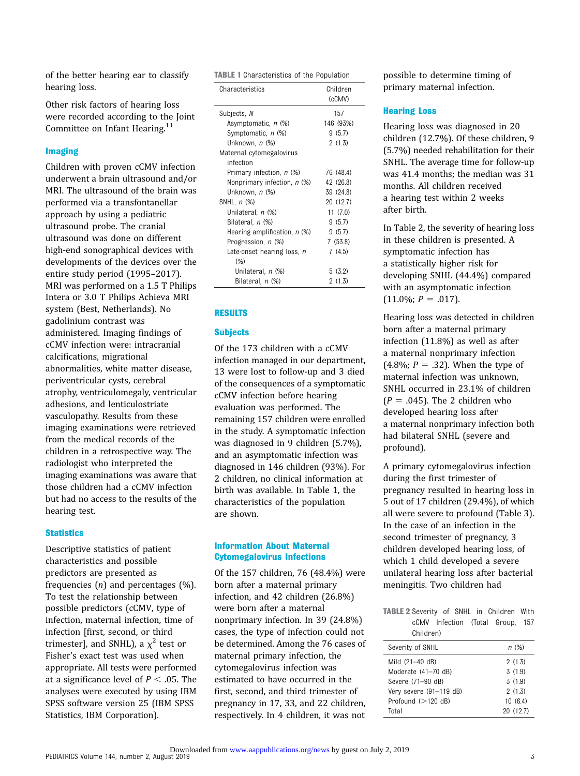of the better hearing ear to classify hearing loss.

Other risk factors of hearing loss were recorded according to the Joint Committee on Infant Hearing.<sup>[11](#page-5-0)</sup>

#### Imaging

Children with proven cCMV infection underwent a brain ultrasound and/or MRI. The ultrasound of the brain was performed via a transfontanellar approach by using a pediatric ultrasound probe. The cranial ultrasound was done on different high-end sonographical devices with developments of the devices over the entire study period (1995–2017). MRI was performed on a 1.5 T Philips Intera or 3.0 T Philips Achieva MRI system (Best, Netherlands). No gadolinium contrast was administered. Imaging findings of cCMV infection were: intracranial calcifications, migrational abnormalities, white matter disease, periventricular cysts, cerebral atrophy, ventriculomegaly, ventricular adhesions, and lenticulostriate vasculopathy. Results from these imaging examinations were retrieved from the medical records of the children in a retrospective way. The radiologist who interpreted the imaging examinations was aware that those children had a cCMV infection but had no access to the results of the hearing test.

#### **Statistics**

Descriptive statistics of patient characteristics and possible predictors are presented as frequencies  $(n)$  and percentages  $(\%)$ . To test the relationship between possible predictors (cCMV, type of infection, maternal infection, time of infection [first, second, or third trimester], and SNHL), a  $\chi^2$  test or Fisher's exact test was used when appropriate. All tests were performed at a significance level of  $P < .05$ . The analyses were executed by using IBM SPSS software version 25 (IBM SPSS Statistics, IBM Corporation).

TABLE 1 Characteristics of the Population

| Characteristics              | Children<br>(cCMV) |
|------------------------------|--------------------|
| Subjects, N                  | 157                |
| Asymptomatic, n (%)          | 146 (93%)          |
| Symptomatic, n (%)           | 9(5.7)             |
| Unknown, n (%)               | 2(1.3)             |
| Maternal cytomegalovirus     |                    |
| infection                    |                    |
| Primary infection, n (%)     | 76 (48.4)          |
| Nonprimary infection, n (%)  | 42 (26.8)          |
| Unknown, n (%)               | 39 (24.8)          |
| SNHL, <i>n</i> (%)           | 20 (12.7)          |
| Unilateral, n (%)            | 11(7.0)            |
| Bilateral, n (%)             | 9(5.7)             |
| Hearing amplification, n (%) | 9(5.7)             |
| Progression, n (%)           | 7(53.8)            |
| Late-onset hearing loss, n   | 7(4.5)             |
| (% )                         |                    |
| Unilateral, n (%)            | 5(3.2)             |
| Bilateral, <i>n</i> (%)      | 2 (1.3)            |

#### RESULTS

#### **Subjects**

Of the 173 children with a cCMV infection managed in our department, 13 were lost to follow-up and 3 died of the consequences of a symptomatic cCMV infection before hearing evaluation was performed. The remaining 157 children were enrolled in the study. A symptomatic infection was diagnosed in 9 children (5.7%), and an asymptomatic infection was diagnosed in 146 children (93%). For 2 children, no clinical information at birth was available. In Table 1, the characteristics of the population are shown.

#### Information About Maternal Cytomegalovirus Infections

Of the 157 children, 76 (48.4%) were born after a maternal primary infection, and 42 children (26.8%) were born after a maternal nonprimary infection. In 39 (24.8%) cases, the type of infection could not be determined. Among the 76 cases of maternal primary infection, the cytomegalovirus infection was estimated to have occurred in the first, second, and third trimester of pregnancy in 17, 33, and 22 children, respectively. In 4 children, it was not

possible to determine timing of primary maternal infection.

#### Hearing Loss

Hearing loss was diagnosed in 20 children (12.7%). Of these children, 9 (5.7%) needed rehabilitation for their SNHL. The average time for follow-up was 41.4 months; the median was 31 months. All children received a hearing test within 2 weeks after birth.

In Table 2, the severity of hearing loss in these children is presented. A symptomatic infection has a statistically higher risk for developing SNHL (44.4%) compared with an asymptomatic infection  $(11.0\%; P=.017).$ 

Hearing loss was detected in children born after a maternal primary infection (11.8%) as well as after a maternal nonprimary infection  $(4.8\%; P = .32)$ . When the type of maternal infection was unknown, SNHL occurred in 23.1% of children  $(P = .045)$ . The 2 children who developed hearing loss after a maternal nonprimary infection both had bilateral SNHL (severe and profound).

A primary cytomegalovirus infection during the first trimester of pregnancy resulted in hearing loss in 5 out of 17 children (29.4%), of which all were severe to profound (Table 3). In the case of an infection in the second trimester of pregnancy, 3 children developed hearing loss, of which 1 child developed a severe unilateral hearing loss after bacterial meningitis. Two children had

TABLE 2 Severity of SNHL in Children With cCMV Infection (Total Group, 157 Children)

| n (%)     |
|-----------|
| 2(1.3)    |
| 3(1.9)    |
| 3(1.9)    |
| 2(1.3)    |
| 10(6.4)   |
| 20 (12.7) |
|           |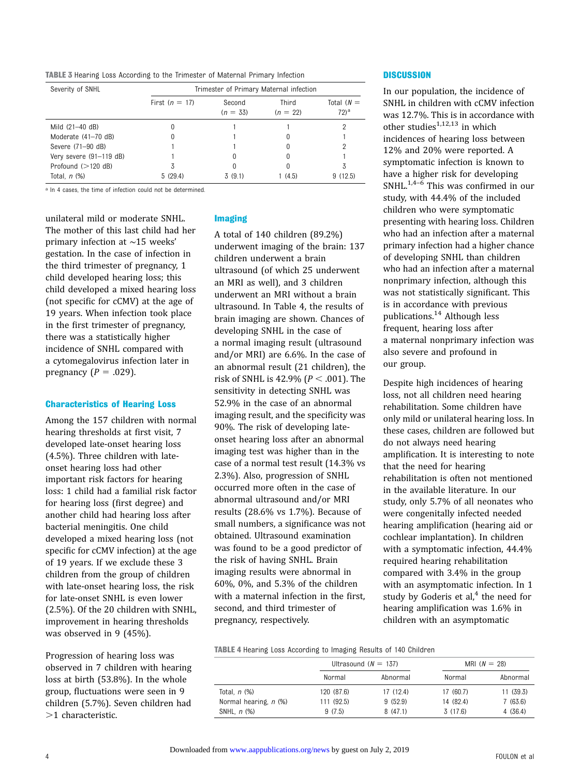TABLE 3 Hearing Loss According to the Trimester of Maternal Primary Infection

| Severity of SNHL        | Trimester of Primary Maternal infection |                      |                     |                         |
|-------------------------|-----------------------------------------|----------------------|---------------------|-------------------------|
|                         | First $(n = 17)$                        | Second<br>$(n = 33)$ | Third<br>$(n = 22)$ | Total $(N =$<br>$72)^a$ |
| Mild (21-40 dB)         |                                         |                      |                     |                         |
| Moderate (41-70 dB)     |                                         |                      |                     |                         |
| Severe (71-90 dB)       |                                         |                      |                     |                         |
| Very severe (91-119 dB) |                                         |                      |                     |                         |
| Profound $(>120$ dB)    |                                         |                      | 0                   | 3                       |
| Total, $n$ $(\%)$       | 5(29.4)                                 | 3 (9.1)              | 1(4.5)              | 9(12.5)                 |

a In 4 cases, the time of infection could not be determined.

unilateral mild or moderate SNHL. The mother of this last child had her primary infection at ∼15 weeks' gestation. In the case of infection in the third trimester of pregnancy, 1 child developed hearing loss; this child developed a mixed hearing loss (not specific for cCMV) at the age of 19 years. When infection took place in the first trimester of pregnancy, there was a statistically higher incidence of SNHL compared with a cytomegalovirus infection later in pregnancy ( $P = .029$ ).

#### Characteristics of Hearing Loss

Among the 157 children with normal hearing thresholds at first visit, 7 developed late-onset hearing loss (4.5%). Three children with lateonset hearing loss had other important risk factors for hearing loss: 1 child had a familial risk factor for hearing loss (first degree) and another child had hearing loss after bacterial meningitis. One child developed a mixed hearing loss (not specific for cCMV infection) at the age of 19 years. If we exclude these 3 children from the group of children with late-onset hearing loss, the risk for late-onset SNHL is even lower (2.5%). Of the 20 children with SNHL, improvement in hearing thresholds was observed in 9 (45%).

Progression of hearing loss was observed in 7 children with hearing loss at birth (53.8%). In the whole group, fluctuations were seen in 9 children (5.7%). Seven children had  $>1$  characteristic.

#### Imaging

A total of 140 children (89.2%) underwent imaging of the brain: 137 children underwent a brain ultrasound (of which 25 underwent an MRI as well), and 3 children underwent an MRI without a brain ultrasound. In Table 4, the results of brain imaging are shown. Chances of developing SNHL in the case of a normal imaging result (ultrasound and/or MRI) are 6.6%. In the case of an abnormal result (21 children), the risk of SNHL is 42.9% ( $P < .001$ ). The sensitivity in detecting SNHL was 52.9% in the case of an abnormal imaging result, and the specificity was 90%. The risk of developing lateonset hearing loss after an abnormal imaging test was higher than in the case of a normal test result (14.3% vs 2.3%). Also, progression of SNHL occurred more often in the case of abnormal ultrasound and/or MRI results (28.6% vs 1.7%). Because of small numbers, a significance was not obtained. Ultrasound examination was found to be a good predictor of the risk of having SNHL. Brain imaging results were abnormal in 60%, 0%, and 5.3% of the children with a maternal infection in the first, second, and third trimester of pregnancy, respectively.

#### **DISCUSSION**

In our population, the incidence of SNHL in children with cCMV infection was 12.7%. This is in accordance with other studies $1,12,13$  $1,12,13$  $1,12,13$  in which incidences of hearing loss between 12% and 20% were reported. A symptomatic infection is known to have a higher risk for developing SNHL. $1,4-\overline{6}$  $1,4-\overline{6}$  $1,4-\overline{6}$  $1,4-\overline{6}$  This was confirmed in our study, with 44.4% of the included children who were symptomatic presenting with hearing loss. Children who had an infection after a maternal primary infection had a higher chance of developing SNHL than children who had an infection after a maternal nonprimary infection, although this was not statistically significant. This is in accordance with previous publications.[14](#page-6-0) Although less frequent, hearing loss after a maternal nonprimary infection was also severe and profound in our group.

Despite high incidences of hearing loss, not all children need hearing rehabilitation. Some children have only mild or unilateral hearing loss. In these cases, children are followed but do not always need hearing amplification. It is interesting to note that the need for hearing rehabilitation is often not mentioned in the available literature. In our study, only 5.7% of all neonates who were congenitally infected needed hearing amplification (hearing aid or cochlear implantation). In children with a symptomatic infection, 44.4% required hearing rehabilitation compared with 3.4% in the group with an asymptomatic infection. In 1 study by Goderis et al, $4$  the need for hearing amplification was 1.6% in children with an asymptomatic

TABLE 4 Hearing Loss According to Imaging Results of 140 Children

|                       | Ultrasound ( $N = 137$ ) |          | MRI $(N = 28)$ |          |
|-----------------------|--------------------------|----------|----------------|----------|
|                       | Normal                   | Abnormal | Normal         | Abnormal |
| Total, <i>n</i> (%)   | 120 (87.6)               | 17(12.4) | 17 (60.7)      | 11(39.3) |
| Normal hearing, n (%) | 111 (92.5)               | 9(52.9)  | 14 (82.4)      | 7(63.6)  |
| SNHL, $n$ $%$         | 9(7.5)                   | 8(47.1)  | 3(17.6)        | 4(36.4)  |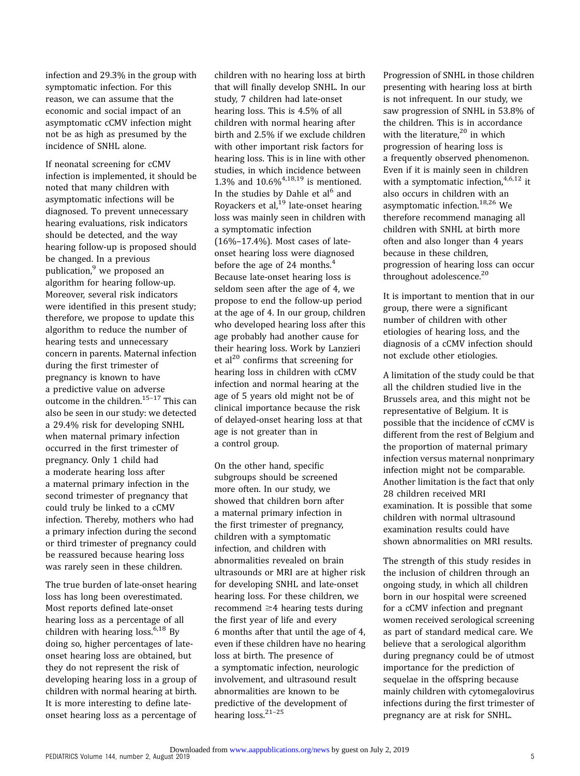infection and 29.3% in the group with symptomatic infection. For this reason, we can assume that the economic and social impact of an asymptomatic cCMV infection might not be as high as presumed by the incidence of SNHL alone.

If neonatal screening for cCMV infection is implemented, it should be noted that many children with asymptomatic infections will be diagnosed. To prevent unnecessary hearing evaluations, risk indicators should be detected, and the way hearing follow-up is proposed should be changed. In a previous publication, $9$  we proposed an algorithm for hearing follow-up. Moreover, several risk indicators were identified in this present study; therefore, we propose to update this algorithm to reduce the number of hearing tests and unnecessary concern in parents. Maternal infection during the first trimester of pregnancy is known to have a predictive value on adverse outcome in the children.<sup>[15](#page-6-0)-[17](#page-6-0)</sup> This can also be seen in our study: we detected a 29.4% risk for developing SNHL when maternal primary infection occurred in the first trimester of pregnancy. Only 1 child had a moderate hearing loss after a maternal primary infection in the second trimester of pregnancy that could truly be linked to a cCMV infection. Thereby, mothers who had a primary infection during the second or third trimester of pregnancy could be reassured because hearing loss was rarely seen in these children.

The true burden of late-onset hearing loss has long been overestimated. Most reports defined late-onset hearing loss as a percentage of all children with hearing loss. $6,18$  $6,18$  $6,18$  By doing so, higher percentages of lateonset hearing loss are obtained, but they do not represent the risk of developing hearing loss in a group of children with normal hearing at birth. It is more interesting to define lateonset hearing loss as a percentage of children with no hearing loss at birth that will finally develop SNHL. In our study, 7 children had late-onset hearing loss. This is 4.5% of all children with normal hearing after birth and 2.5% if we exclude children with other important risk factors for hearing loss. This is in line with other studies, in which incidence between 1.3% and  $10.6\%$ <sup>[4](#page-5-0)[,18](#page-6-0),[19](#page-6-0)</sup> is mentioned. In the studies by Dahle et  $al^6$  $al^6$  and Royackers et al, $^{19}$  $^{19}$  $^{19}$  late-onset hearing loss was mainly seen in children with a symptomatic infection (16%–17.4%). Most cases of lateonset hearing loss were diagnosed before the age of 2[4](#page-5-0) months. $4$ Because late-onset hearing loss is seldom seen after the age of 4, we propose to end the follow-up period at the age of 4. In our group, children who developed hearing loss after this age probably had another cause for their hearing loss. Work by Lanzieri et al<sup>20</sup> confirms that screening for hearing loss in children with cCMV infection and normal hearing at the age of 5 years old might not be of clinical importance because the risk of delayed-onset hearing loss at that age is not greater than in a control group.

On the other hand, specific subgroups should be screened more often. In our study, we showed that children born after a maternal primary infection in the first trimester of pregnancy, children with a symptomatic infection, and children with abnormalities revealed on brain ultrasounds or MRI are at higher risk for developing SNHL and late-onset hearing loss. For these children, we recommend  $\geq$ 4 hearing tests during the first year of life and every 6 months after that until the age of 4, even if these children have no hearing loss at birth. The presence of a symptomatic infection, neurologic involvement, and ultrasound result abnormalities are known to be predictive of the development of hearing loss.<sup>21-[25](#page-6-0)</sup>

Progression of SNHL in those children presenting with hearing loss at birth is not infrequent. In our study, we saw progression of SNHL in 53.8% of the children. This is in accordance with the literature,<sup>[20](#page-6-0)</sup> in which progression of hearing loss is a frequently observed phenomenon. Even if it is mainly seen in children with a symptomatic infection,  $4,6,12$  $4,6,12$  $4,6,12$  it also occurs in children with an asymptomatic infection.<sup>[18](#page-6-0),[26](#page-6-0)</sup> We therefore recommend managing all children with SNHL at birth more often and also longer than 4 years because in these children, progression of hearing loss can occur throughout adolescence.<sup>[20](#page-6-0)</sup>

It is important to mention that in our group, there were a significant number of children with other etiologies of hearing loss, and the diagnosis of a cCMV infection should not exclude other etiologies.

A limitation of the study could be that all the children studied live in the Brussels area, and this might not be representative of Belgium. It is possible that the incidence of cCMV is different from the rest of Belgium and the proportion of maternal primary infection versus maternal nonprimary infection might not be comparable. Another limitation is the fact that only 28 children received MRI examination. It is possible that some children with normal ultrasound examination results could have shown abnormalities on MRI results.

The strength of this study resides in the inclusion of children through an ongoing study, in which all children born in our hospital were screened for a cCMV infection and pregnant women received serological screening as part of standard medical care. We believe that a serological algorithm during pregnancy could be of utmost importance for the prediction of sequelae in the offspring because mainly children with cytomegalovirus infections during the first trimester of pregnancy are at risk for SNHL.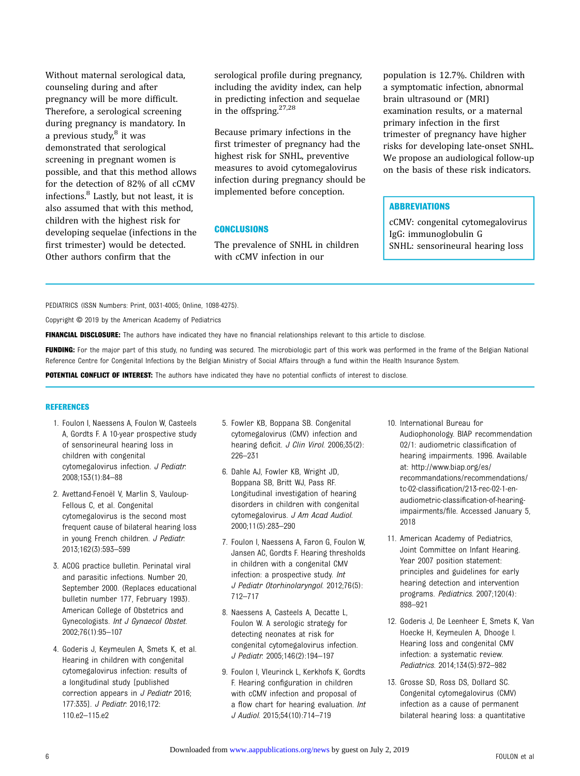<span id="page-5-0"></span>Without maternal serological data, counseling during and after pregnancy will be more difficult. Therefore, a serological screening during pregnancy is mandatory. In a previous study, $8$  it was demonstrated that serological screening in pregnant women is possible, and that this method allows for the detection of 82% of all cCMV infections.<sup>8</sup> Lastly, but not least, it is also assumed that with this method, children with the highest risk for developing sequelae (infections in the first trimester) would be detected. Other authors confirm that the

serological profile during pregnancy, including the avidity index, can help in predicting infection and sequelae in the offspring.[27,28](#page-6-0)

Because primary infections in the first trimester of pregnancy had the highest risk for SNHL, preventive measures to avoid cytomegalovirus infection during pregnancy should be implemented before conception.

#### **CONCLUSIONS**

The prevalence of SNHL in children with cCMV infection in our

population is 12.7%. Children with a symptomatic infection, abnormal brain ultrasound or (MRI) examination results, or a maternal primary infection in the first trimester of pregnancy have higher risks for developing late-onset SNHL. We propose an audiological follow-up on the basis of these risk indicators.

#### **ABBREVIATIONS**

cCMV: congenital cytomegalovirus IgG: immunoglobulin G SNHL: sensorineural hearing loss

PEDIATRICS (ISSN Numbers: Print, 0031-4005; Online, 1098-4275).

Copyright © 2019 by the American Academy of Pediatrics

FINANCIAL DISCLOSURE: The authors have indicated they have no financial relationships relevant to this article to disclose.

FUNDING: For the major part of this study, no funding was secured. The microbiologic part of this work was performed in the frame of the Belgian National Reference Centre for Congenital Infections by the Belgian Ministry of Social Affairs through a fund within the Health Insurance System.

POTENTIAL CONFLICT OF INTEREST: The authors have indicated they have no potential conflicts of interest to disclose.

#### **REFERENCES**

- 1. Foulon I, Naessens A, Foulon W, Casteels A, Gordts F. A 10-year prospective study of sensorineural hearing loss in children with congenital cytomegalovirus infection. J Pediatr. 2008;153(1):84–88
- 2. Avettand-Fenoël V, Marlin S, Vauloup-Fellous C, et al. Congenital cytomegalovirus is the second most frequent cause of bilateral hearing loss in young French children. J Pediatr. 2013;162(3):593–599
- 3. ACOG practice bulletin. Perinatal viral and parasitic infections. Number 20, September 2000. (Replaces educational bulletin number 177, February 1993). American College of Obstetrics and Gynecologists. Int J Gynaecol Obstet. 2002;76(1):95–107
- 4. Goderis J, Keymeulen A, Smets K, et al. Hearing in children with congenital cytomegalovirus infection: results of a longitudinal study [published correction appears in J Pediatr 2016; 177:335]. J Pediatr. 2016;172: 110.e2–115.e2
- 5. Fowler KB, Boppana SB. Congenital cytomegalovirus (CMV) infection and hearing deficit. J Clin Virol. 2006;35(2): 226–231
- 6. Dahle AJ, Fowler KB, Wright JD, Boppana SB, Britt WJ, Pass RF. Longitudinal investigation of hearing disorders in children with congenital cytomegalovirus. J Am Acad Audiol. 2000;11(5):283–290
- 7. Foulon I, Naessens A, Faron G, Foulon W, Jansen AC, Gordts F. Hearing thresholds in children with a congenital CMV infection: a prospective study. Int J Pediatr Otorhinolaryngol. 2012;76(5): 712–717
- 8. Naessens A, Casteels A, Decatte L, Foulon W. A serologic strategy for detecting neonates at risk for congenital cytomegalovirus infection. J Pediatr. 2005;146(2):194–197
- 9. Foulon I, Vleurinck L, Kerkhofs K, Gordts F. Hearing configuration in children with cCMV infection and proposal of a flow chart for hearing evaluation. Int J Audiol. 2015;54(10):714–719
- 10. International Bureau for Audiophonology. BIAP recommendation 02/1: audiometric classification of hearing impairments. 1996. Available at: [http://www.biap.org/es/](http://www.biap.org/es/recommandations/recommendations/tc-02-classification/213-rec-02-1-en-audiometric-classification-of-hearing-impairments/file) [recommandations/recommendations/](http://www.biap.org/es/recommandations/recommendations/tc-02-classification/213-rec-02-1-en-audiometric-classification-of-hearing-impairments/file) tc-02-classifi[cation/213-rec-02-1-en](http://www.biap.org/es/recommandations/recommendations/tc-02-classification/213-rec-02-1-en-audiometric-classification-of-hearing-impairments/file)[audiometric-classi](http://www.biap.org/es/recommandations/recommendations/tc-02-classification/213-rec-02-1-en-audiometric-classification-of-hearing-impairments/file)fication-of-hearing[impairments/](http://www.biap.org/es/recommandations/recommendations/tc-02-classification/213-rec-02-1-en-audiometric-classification-of-hearing-impairments/file)file. Accessed January 5, 2018
- 11. American Academy of Pediatrics, Joint Committee on Infant Hearing. Year 2007 position statement: principles and guidelines for early hearing detection and intervention programs. Pediatrics. 2007;120(4): 898–921
- 12. Goderis J, De Leenheer E, Smets K, Van Hoecke H, Keymeulen A, Dhooge I. Hearing loss and congenital CMV infection: a systematic review. Pediatrics. 2014;134(5):972–982
- 13. Grosse SD, Ross DS, Dollard SC. Congenital cytomegalovirus (CMV) infection as a cause of permanent bilateral hearing loss: a quantitative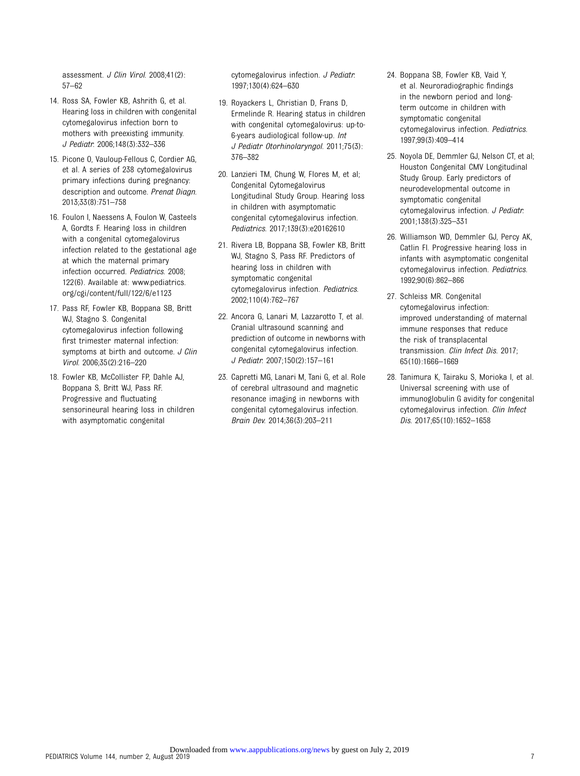<span id="page-6-0"></span>assessment. J Clin Virol. 2008;41(2): 57–62

- 14. Ross SA, Fowler KB, Ashrith G, et al. Hearing loss in children with congenital cytomegalovirus infection born to mothers with preexisting immunity. J Pediatr. 2006;148(3):332–336
- 15. Picone O, Vauloup-Fellous C, Cordier AG, et al. A series of 238 cytomegalovirus primary infections during pregnancy: description and outcome. Prenat Diagn. 2013;33(8):751–758
- 16. Foulon I, Naessens A, Foulon W, Casteels A, Gordts F. Hearing loss in children with a congenital cytomegalovirus infection related to the gestational age at which the maternal primary infection occurred. Pediatrics. 2008; 122(6). [Available at: www.pediatrics.](http://Availableat:www.pediatrics.org/cgi/content/full/122/6/e1123) [org/cgi/content/full/122/6/e1123](http://Availableat:www.pediatrics.org/cgi/content/full/122/6/e1123)
- 17. Pass RF, Fowler KB, Boppana SB, Britt WJ, Stagno S. Congenital cytomegalovirus infection following first trimester maternal infection: symptoms at birth and outcome. J Clin Virol. 2006;35(2):216–220
- 18. Fowler KB, McCollister FP, Dahle AJ, Boppana S, Britt WJ, Pass RF. Progressive and fluctuating sensorineural hearing loss in children with asymptomatic congenital

cytomegalovirus infection. J Pediatr. 1997;130(4):624–630

- 19. Royackers L, Christian D, Frans D, Ermelinde R. Hearing status in children with congenital cytomegalovirus: up-to-6-years audiological follow-up. Int J Pediatr Otorhinolaryngol. 2011;75(3): 376–382
- 20. Lanzieri TM, Chung W, Flores M, et al; Congenital Cytomegalovirus Longitudinal Study Group. Hearing loss in children with asymptomatic congenital cytomegalovirus infection. Pediatrics. 2017;139(3):e20162610
- 21. Rivera LB, Boppana SB, Fowler KB, Britt WJ, Stagno S, Pass RF. Predictors of hearing loss in children with symptomatic congenital cytomegalovirus infection. Pediatrics. 2002;110(4):762–767
- 22. Ancora G, Lanari M, Lazzarotto T, et al. Cranial ultrasound scanning and prediction of outcome in newborns with congenital cytomegalovirus infection. J Pediatr. 2007;150(2):157–161
- 23. Capretti MG, Lanari M, Tani G, et al. Role of cerebral ultrasound and magnetic resonance imaging in newborns with congenital cytomegalovirus infection. Brain Dev. 2014;36(3):203–211
- 24. Boppana SB, Fowler KB, Vaid Y, et al. Neuroradiographic findings in the newborn period and longterm outcome in children with symptomatic congenital cytomegalovirus infection. Pediatrics. 1997;99(3):409–414
- 25. Noyola DE, Demmler GJ, Nelson CT, et al; Houston Congenital CMV Longitudinal Study Group. Early predictors of neurodevelopmental outcome in symptomatic congenital cytomegalovirus infection. J Pediatr. 2001;138(3):325–331
- 26. Williamson WD, Demmler GJ, Percy AK, Catlin FI. Progressive hearing loss in infants with asymptomatic congenital cytomegalovirus infection. Pediatrics. 1992;90(6):862–866
- 27. Schleiss MR. Congenital cytomegalovirus infection: improved understanding of maternal immune responses that reduce the risk of transplacental transmission. Clin Infect Dis. 2017; 65(10):1666–1669
- 28. Tanimura K, Tairaku S, Morioka I, et al. Universal screening with use of immunoglobulin G avidity for congenital cytomegalovirus infection. Clin Infect Dis. 2017;65(10):1652–1658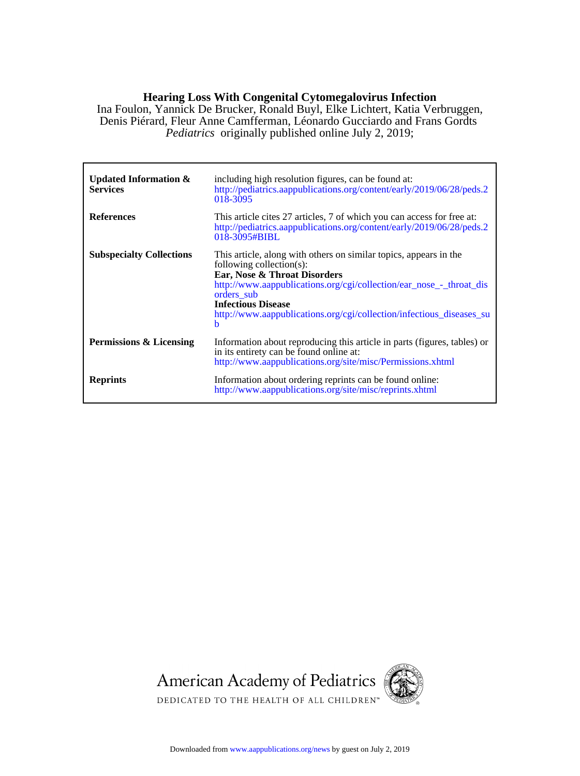### **Hearing Loss With Congenital Cytomegalovirus Infection**

*Pediatrics* originally published online July 2, 2019; Denis Piérard, Fleur Anne Camfferman, Léonardo Gucciardo and Frans Gordts Ina Foulon, Yannick De Brucker, Ronald Buyl, Elke Lichtert, Katia Verbruggen,

| Updated Information $\&$<br><b>Services</b> | including high resolution figures, can be found at:<br>http://pediatrics.aappublications.org/content/early/2019/06/28/peds.2<br>018-3095                                                                                                                                                                                     |
|---------------------------------------------|------------------------------------------------------------------------------------------------------------------------------------------------------------------------------------------------------------------------------------------------------------------------------------------------------------------------------|
| <b>References</b>                           | This article cites 27 articles, 7 of which you can access for free at:<br>http://pediatrics.aappublications.org/content/early/2019/06/28/peds.2<br>018-3095#BIBL                                                                                                                                                             |
| <b>Subspecialty Collections</b>             | This article, along with others on similar topics, appears in the<br>following collection(s):<br>Ear, Nose & Throat Disorders<br>http://www.aappublications.org/cgi/collection/ear_nose_-_throat_dis<br>orders sub<br><b>Infectious Disease</b><br>http://www.aappublications.org/cgi/collection/infectious diseases su<br>h |
| Permissions & Licensing                     | Information about reproducing this article in parts (figures, tables) or<br>in its entirety can be found online at:<br>http://www.aappublications.org/site/misc/Permissions.xhtml                                                                                                                                            |
| <b>Reprints</b>                             | Information about ordering reprints can be found online:<br>http://www.aappublications.org/site/misc/reprints.xhtml                                                                                                                                                                                                          |